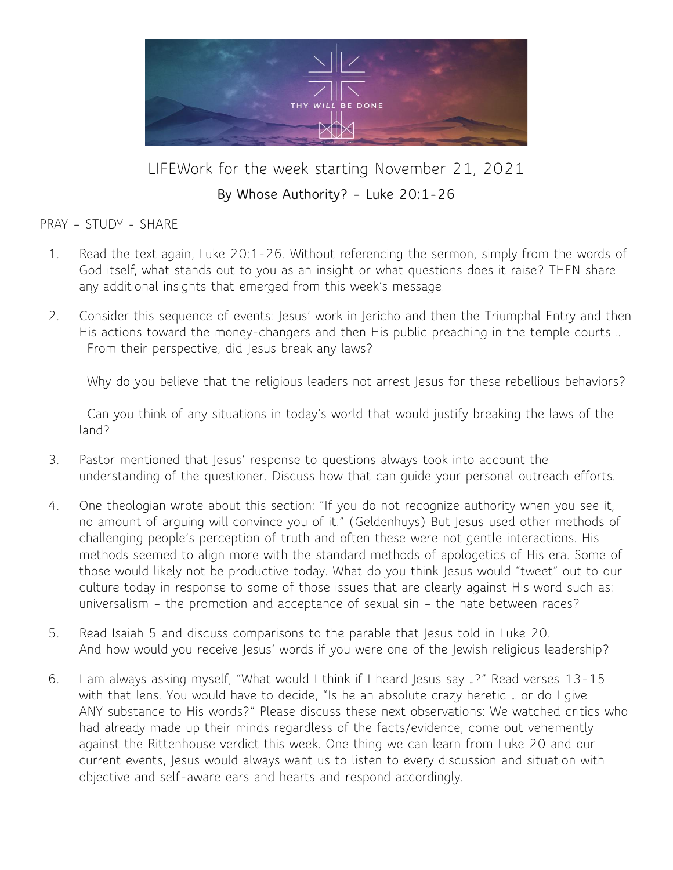

LIFEWork for the week starting November 21, 2021

### **By Whose Authority? – Luke 20:1-26**

PRAY – STUDY - SHARE

- 1. Read the text again, Luke 20:1-26. Without referencing the sermon, simply from the words of God itself, what stands out to you as an insight or what questions does it raise? THEN share any additional insights that emerged from this week's message.
- 2. Consider this sequence of events: Jesus' work in Jericho and then the Triumphal Entry and then His actions toward the money-changers and then His public preaching in the temple courts … From their perspective, did Jesus break any laws?

Why do you believe that the religious leaders not arrest Jesus for these rebellious behaviors?

Can you think of any situations in today's world that would justify breaking the laws of the land?

- 3. Pastor mentioned that Jesus' response to questions always took into account the understanding of the questioner. Discuss how that can guide your personal outreach efforts.
- 4. One theologian wrote about this section: "If you do not recognize authority when you see it, no amount of arguing will convince you of it." (Geldenhuys) But Jesus used other methods of challenging people's perception of truth and often these were not gentle interactions. His methods seemed to align more with the standard methods of apologetics of His era. Some of those would likely not be productive today. What do you think Jesus would "tweet" out to our culture today in response to some of those issues that are clearly against His word such as: universalism – the promotion and acceptance of sexual sin – the hate between races?
- 5. Read Isaiah 5 and discuss comparisons to the parable that Jesus told in Luke 20. And how would you receive Jesus' words if you were one of the Jewish religious leadership?
- 6. I am always asking myself, "What would I think if I heard Jesus say …?" Read verses 13-15 with that lens. You would have to decide, "Is he an absolute crazy heretic … or do I give ANY substance to His words?" Please discuss these next observations: We watched critics who had already made up their minds regardless of the facts/evidence, come out vehemently against the Rittenhouse verdict this week. One thing we can learn from Luke 20 and our current events, Jesus would always want us to listen to every discussion and situation with objective and self-aware ears and hearts and respond accordingly.